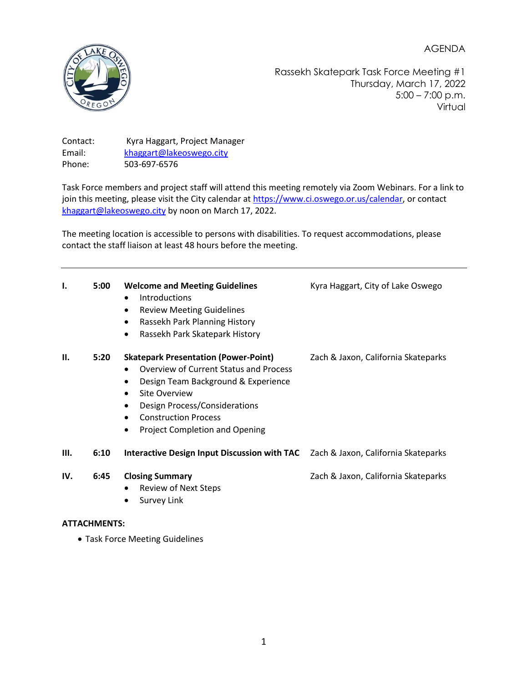AGENDA



Rassekh Skatepark Task Force Meeting #1 Thursday, March 17, 2022 5:00 – 7:00 p.m. Virtual

Contact: Kyra Haggart, Project Manager Email: [khaggart@lakeoswego.city](mailto:khaggart@lakeoswego.city) Phone: 503-697-6576

Task Force members and project staff will attend this meeting remotely via Zoom Webinars. For a link to join this meeting, please visit the City calendar a[t https://www.ci.oswego.or.us/calendar,](https://www.ci.oswego.or.us/calendar) or contact [khaggart@lakeoswego.city](mailto:khaggart@lakeoswego.city) by noon on March 17, 2022.

The meeting location is accessible to persons with disabilities. To request accommodations, please contact the staff liaison at least 48 hours before the meeting.

| ı.   | 5:00 | <b>Welcome and Meeting Guidelines</b><br>Introductions<br>$\bullet$<br><b>Review Meeting Guidelines</b><br>$\bullet$<br>Rassekh Park Planning History<br>$\bullet$<br>Rassekh Park Skatepark History<br>$\bullet$                                                                                    | Kyra Haggart, City of Lake Oswego   |
|------|------|------------------------------------------------------------------------------------------------------------------------------------------------------------------------------------------------------------------------------------------------------------------------------------------------------|-------------------------------------|
| П.   | 5:20 | <b>Skatepark Presentation (Power-Point)</b><br><b>Overview of Current Status and Process</b><br>Design Team Background & Experience<br>Site Overview<br>$\bullet$<br>Design Process/Considerations<br>$\bullet$<br><b>Construction Process</b><br><b>Project Completion and Opening</b><br>$\bullet$ | Zach & Jaxon, California Skateparks |
| III. | 6:10 | <b>Interactive Design Input Discussion with TAC</b>                                                                                                                                                                                                                                                  | Zach & Jaxon, California Skateparks |
| IV.  | 6:45 | <b>Closing Summary</b><br><b>Review of Next Steps</b><br>٠<br>Survey Link                                                                                                                                                                                                                            | Zach & Jaxon, California Skateparks |

#### **ATTACHMENTS:**

• Task Force Meeting Guidelines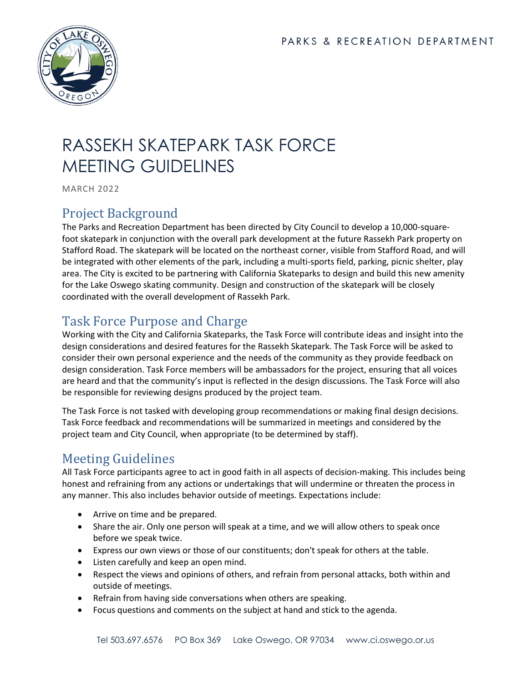

# RASSEKH SKATEPARK TASK FORCE MEETING GUIDELINES

MARCH 2022

### Project Background

The Parks and Recreation Department has been directed by City Council to develop a 10,000-squarefoot skatepark in conjunction with the overall park development at the future Rassekh Park property on Stafford Road. The skatepark will be located on the northeast corner, visible from Stafford Road, and will be integrated with other elements of the park, including a multi-sports field, parking, picnic shelter, play area. The City is excited to be partnering with California Skateparks to design and build this new amenity for the Lake Oswego skating community. Design and construction of the skatepark will be closely coordinated with the overall development of Rassekh Park.

# Task Force Purpose and Charge

Working with the City and California Skateparks, the Task Force will contribute ideas and insight into the design considerations and desired features for the Rassekh Skatepark. The Task Force will be asked to consider their own personal experience and the needs of the community as they provide feedback on design consideration. Task Force members will be ambassadors for the project, ensuring that all voices are heard and that the community's input is reflected in the design discussions. The Task Force will also be responsible for reviewing designs produced by the project team.

The Task Force is not tasked with developing group recommendations or making final design decisions. Task Force feedback and recommendations will be summarized in meetings and considered by the project team and City Council, when appropriate (to be determined by staff).

# Meeting Guidelines

All Task Force participants agree to act in good faith in all aspects of decision-making. This includes being honest and refraining from any actions or undertakings that will undermine or threaten the process in any manner. This also includes behavior outside of meetings. Expectations include:

- Arrive on time and be prepared.
- Share the air. Only one person will speak at a time, and we will allow others to speak once before we speak twice.
- Express our own views or those of our constituents; don't speak for others at the table.
- Listen carefully and keep an open mind.
- Respect the views and opinions of others, and refrain from personal attacks, both within and outside of meetings.
- Refrain from having side conversations when others are speaking.
- Focus questions and comments on the subject at hand and stick to the agenda.